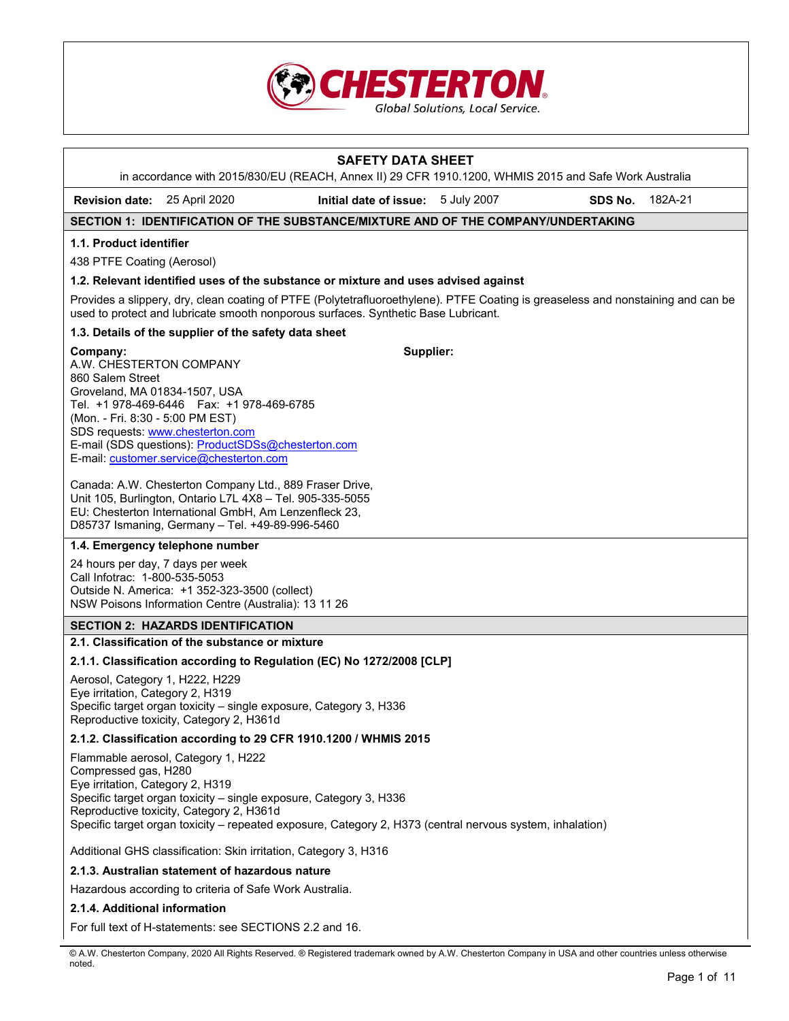

|                                                                                                                              |                                                                                                                                                                                                                                  | <b>SAFETY DATA SHEET</b><br>in accordance with 2015/830/EU (REACH, Annex II) 29 CFR 1910.1200, WHMIS 2015 and Safe Work Australia                                                                                      |         |         |
|------------------------------------------------------------------------------------------------------------------------------|----------------------------------------------------------------------------------------------------------------------------------------------------------------------------------------------------------------------------------|------------------------------------------------------------------------------------------------------------------------------------------------------------------------------------------------------------------------|---------|---------|
| <b>Revision date:</b> 25 April 2020                                                                                          |                                                                                                                                                                                                                                  | Initial date of issue: 5 July 2007                                                                                                                                                                                     | SDS No. | 182A-21 |
|                                                                                                                              |                                                                                                                                                                                                                                  | SECTION 1: IDENTIFICATION OF THE SUBSTANCE/MIXTURE AND OF THE COMPANY/UNDERTAKING                                                                                                                                      |         |         |
| 1.1. Product identifier                                                                                                      |                                                                                                                                                                                                                                  |                                                                                                                                                                                                                        |         |         |
| 438 PTFE Coating (Aerosol)                                                                                                   |                                                                                                                                                                                                                                  |                                                                                                                                                                                                                        |         |         |
|                                                                                                                              |                                                                                                                                                                                                                                  | 1.2. Relevant identified uses of the substance or mixture and uses advised against                                                                                                                                     |         |         |
|                                                                                                                              |                                                                                                                                                                                                                                  | Provides a slippery, dry, clean coating of PTFE (Polytetrafluoroethylene). PTFE Coating is greaseless and nonstaining and can be<br>used to protect and lubricate smooth nonporous surfaces. Synthetic Base Lubricant. |         |         |
|                                                                                                                              | 1.3. Details of the supplier of the safety data sheet                                                                                                                                                                            |                                                                                                                                                                                                                        |         |         |
| Company:<br>A.W. CHESTERTON COMPANY<br>860 Salem Street<br>Groveland, MA 01834-1507, USA<br>(Mon. - Fri. 8:30 - 5:00 PM EST) | Tel. +1 978-469-6446    Fax: +1 978-469-6785<br>SDS requests: www.chesterton.com<br>E-mail (SDS questions): ProductSDSs@chesterton.com<br>E-mail: customer.service@chesterton.com                                                | Supplier:                                                                                                                                                                                                              |         |         |
|                                                                                                                              | Canada: A.W. Chesterton Company Ltd., 889 Fraser Drive,<br>Unit 105, Burlington, Ontario L7L 4X8 - Tel. 905-335-5055<br>EU: Chesterton International GmbH, Am Lenzenfleck 23,<br>D85737 Ismaning, Germany - Tel. +49-89-996-5460 |                                                                                                                                                                                                                        |         |         |
|                                                                                                                              | 1.4. Emergency telephone number                                                                                                                                                                                                  |                                                                                                                                                                                                                        |         |         |
| 24 hours per day, 7 days per week<br>Call Infotrac: 1-800-535-5053                                                           | Outside N. America: +1 352-323-3500 (collect)<br>NSW Poisons Information Centre (Australia): 13 11 26                                                                                                                            |                                                                                                                                                                                                                        |         |         |
|                                                                                                                              | <b>SECTION 2: HAZARDS IDENTIFICATION</b>                                                                                                                                                                                         |                                                                                                                                                                                                                        |         |         |
|                                                                                                                              | 2.1. Classification of the substance or mixture                                                                                                                                                                                  |                                                                                                                                                                                                                        |         |         |
|                                                                                                                              |                                                                                                                                                                                                                                  | 2.1.1. Classification according to Regulation (EC) No 1272/2008 [CLP]                                                                                                                                                  |         |         |
| Aerosol, Category 1, H222, H229<br>Eye irritation, Category 2, H319                                                          | Specific target organ toxicity - single exposure, Category 3, H336<br>Reproductive toxicity, Category 2, H361d                                                                                                                   |                                                                                                                                                                                                                        |         |         |
|                                                                                                                              |                                                                                                                                                                                                                                  | 2.1.2. Classification according to 29 CFR 1910.1200 / WHMIS 2015                                                                                                                                                       |         |         |
| Compressed gas, H280<br>Eye irritation, Category 2, H319                                                                     | Flammable aerosol, Category 1, H222<br>Specific target organ toxicity - single exposure, Category 3, H336<br>Reproductive toxicity, Category 2, H361d                                                                            | Specific target organ toxicity - repeated exposure, Category 2, H373 (central nervous system, inhalation)                                                                                                              |         |         |
|                                                                                                                              | Additional GHS classification: Skin irritation, Category 3, H316                                                                                                                                                                 |                                                                                                                                                                                                                        |         |         |
|                                                                                                                              | 2.1.3. Australian statement of hazardous nature                                                                                                                                                                                  |                                                                                                                                                                                                                        |         |         |
|                                                                                                                              | Hazardous according to criteria of Safe Work Australia.                                                                                                                                                                          |                                                                                                                                                                                                                        |         |         |
| 2.1.4. Additional information                                                                                                |                                                                                                                                                                                                                                  |                                                                                                                                                                                                                        |         |         |

For full text of H-statements: see SECTIONS 2.2 and 16.

© A.W. Chesterton Company, 2020 All Rights Reserved. ® Registered trademark owned by A.W. Chesterton Company in USA and other countries unless otherwise noted.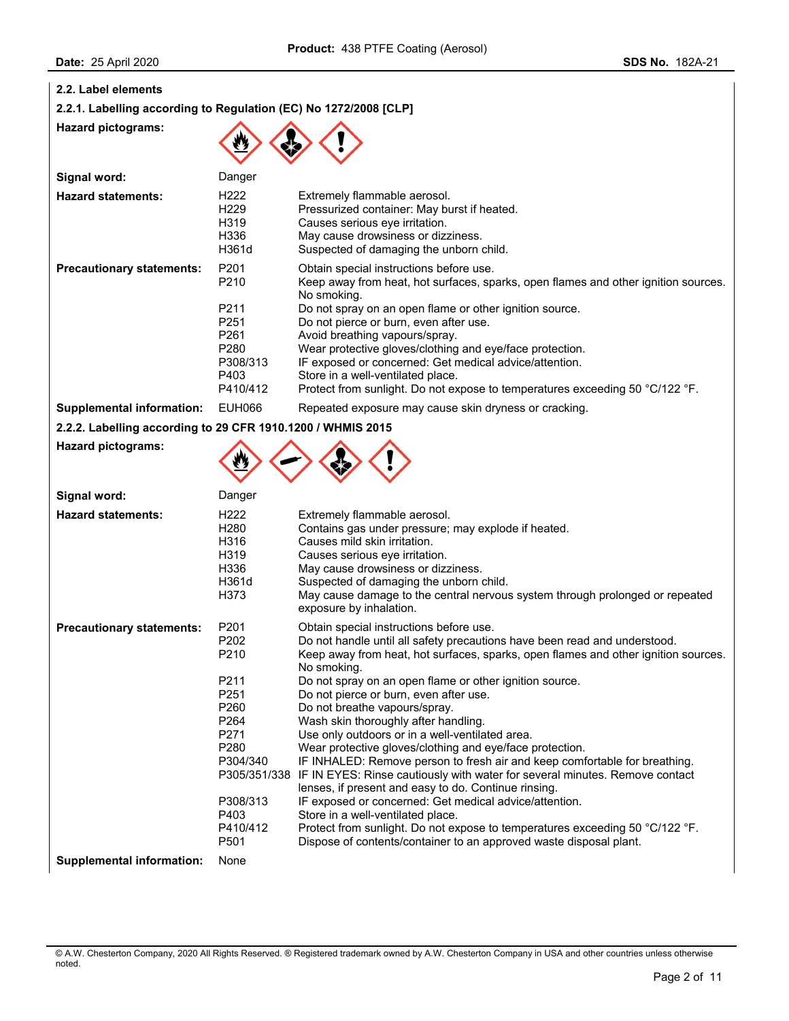|  |  |  | 2.2. Label elements |
|--|--|--|---------------------|
|--|--|--|---------------------|

**2.2.1. Labelling according to Regulation (EC) No 1272/2008 [CLP]** 

**Hazard pictograms:** 

**Hazard pictograms:** 



| Signal word:                     | Danger                                                                                                                                               |                                                                                                                                                                                                                                                                                                                                                                                                                                                                                                                                |
|----------------------------------|------------------------------------------------------------------------------------------------------------------------------------------------------|--------------------------------------------------------------------------------------------------------------------------------------------------------------------------------------------------------------------------------------------------------------------------------------------------------------------------------------------------------------------------------------------------------------------------------------------------------------------------------------------------------------------------------|
| <b>Hazard statements:</b>        | H <sub>222</sub><br>H <sub>229</sub><br>H319<br>H336<br>H361d                                                                                        | Extremely flammable aerosol.<br>Pressurized container: May burst if heated.<br>Causes serious eye irritation.<br>May cause drowsiness or dizziness.<br>Suspected of damaging the unborn child.                                                                                                                                                                                                                                                                                                                                 |
| <b>Precautionary statements:</b> | P <sub>201</sub><br>P <sub>210</sub><br>P <sub>211</sub><br>P <sub>251</sub><br>P <sub>261</sub><br>P <sub>280</sub><br>P308/313<br>P403<br>P410/412 | Obtain special instructions before use.<br>Keep away from heat, hot surfaces, sparks, open flames and other ignition sources.<br>No smoking.<br>Do not spray on an open flame or other ignition source.<br>Do not pierce or burn, even after use.<br>Avoid breathing vapours/spray.<br>Wear protective gloves/clothing and eye/face protection.<br>IF exposed or concerned: Get medical advice/attention.<br>Store in a well-ventilated place.<br>Protect from sunlight. Do not expose to temperatures exceeding 50 °C/122 °F. |
| <b>Supplemental information:</b> | EUH066                                                                                                                                               | Repeated exposure may cause skin dryness or cracking.                                                                                                                                                                                                                                                                                                                                                                                                                                                                          |

**2.2.2. Labelling according to 29 CFR 1910.1200 / WHMIS 2015** 



| Signal word:                     | Danger                                                                                                                                                                                                                               |                                                                                                                                                                                                                                                                                                                                                                                                                                                                                                                                                                                                                                                                                                                                                                                                                                                                                                                                                                                                               |
|----------------------------------|--------------------------------------------------------------------------------------------------------------------------------------------------------------------------------------------------------------------------------------|---------------------------------------------------------------------------------------------------------------------------------------------------------------------------------------------------------------------------------------------------------------------------------------------------------------------------------------------------------------------------------------------------------------------------------------------------------------------------------------------------------------------------------------------------------------------------------------------------------------------------------------------------------------------------------------------------------------------------------------------------------------------------------------------------------------------------------------------------------------------------------------------------------------------------------------------------------------------------------------------------------------|
| <b>Hazard statements:</b>        | H <sub>222</sub><br>H <sub>280</sub><br>H316<br>H319<br>H336<br>H361d<br>H373                                                                                                                                                        | Extremely flammable aerosol.<br>Contains gas under pressure; may explode if heated.<br>Causes mild skin irritation.<br>Causes serious eye irritation.<br>May cause drowsiness or dizziness.<br>Suspected of damaging the unborn child.<br>May cause damage to the central nervous system through prolonged or repeated<br>exposure by inhalation.                                                                                                                                                                                                                                                                                                                                                                                                                                                                                                                                                                                                                                                             |
| <b>Precautionary statements:</b> | P <sub>201</sub><br>P <sub>202</sub><br>P <sub>210</sub><br>P <sub>211</sub><br>P <sub>251</sub><br>P260<br>P <sub>264</sub><br>P <sub>271</sub><br>P <sub>280</sub><br>P304/340<br>P308/313<br>P403<br>P410/412<br>P <sub>501</sub> | Obtain special instructions before use.<br>Do not handle until all safety precautions have been read and understood.<br>Keep away from heat, hot surfaces, sparks, open flames and other ignition sources.<br>No smoking.<br>Do not spray on an open flame or other ignition source.<br>Do not pierce or burn, even after use.<br>Do not breathe vapours/spray.<br>Wash skin thoroughly after handling.<br>Use only outdoors or in a well-ventilated area.<br>Wear protective gloves/clothing and eye/face protection.<br>IF INHALED: Remove person to fresh air and keep comfortable for breathing.<br>P305/351/338 IF IN EYES: Rinse cautiously with water for several minutes. Remove contact<br>lenses, if present and easy to do. Continue rinsing.<br>IF exposed or concerned: Get medical advice/attention.<br>Store in a well-ventilated place.<br>Protect from sunlight. Do not expose to temperatures exceeding 50 °C/122 °F.<br>Dispose of contents/container to an approved waste disposal plant. |
| <b>Supplemental information:</b> | None                                                                                                                                                                                                                                 |                                                                                                                                                                                                                                                                                                                                                                                                                                                                                                                                                                                                                                                                                                                                                                                                                                                                                                                                                                                                               |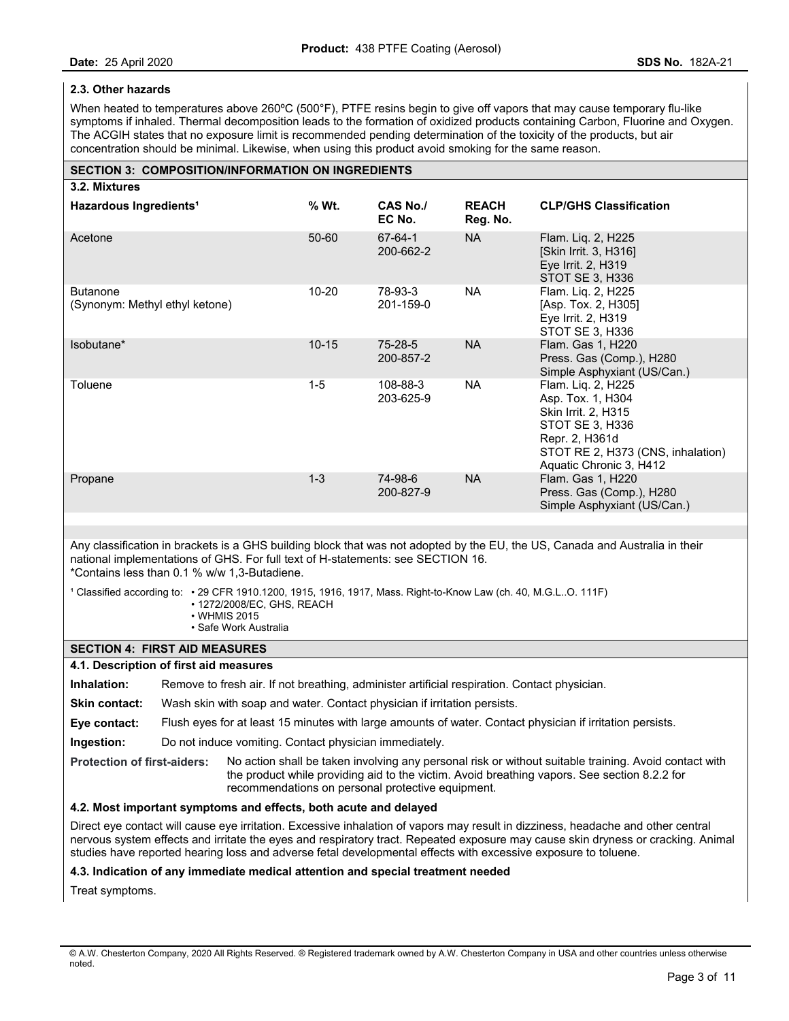## **2.3. Other hazards**

When heated to temperatures above 260°C (500°F), PTFE resins begin to give off vapors that may cause temporary flu-like symptoms if inhaled. Thermal decomposition leads to the formation of oxidized products containing Carbon, Fluorine and Oxygen. The ACGIH states that no exposure limit is recommended pending determination of the toxicity of the products, but air concentration should be minimal. Likewise, when using this product avoid smoking for the same reason.

# **SECTION 3: COMPOSITION/INFORMATION ON INGREDIENTS**

| 3.2. Mixtures                                     |           |                            |                          |                                                                                                                                                                     |
|---------------------------------------------------|-----------|----------------------------|--------------------------|---------------------------------------------------------------------------------------------------------------------------------------------------------------------|
| Hazardous Ingredients <sup>1</sup>                | % Wt.     | <b>CAS No./</b><br>EC No.  | <b>REACH</b><br>Reg. No. | <b>CLP/GHS Classification</b>                                                                                                                                       |
| Acetone                                           | 50-60     | 67-64-1<br>200-662-2       | <b>NA</b>                | Flam. Lig. 2, H225<br>[Skin Irrit. 3, H316]<br>Eye Irrit. 2, H319<br>STOT SE 3, H336                                                                                |
| <b>Butanone</b><br>(Synonym: Methyl ethyl ketone) | $10 - 20$ | 78-93-3<br>201-159-0       | <b>NA</b>                | Flam. Liq. 2, H225<br>[Asp. Tox. 2, H305]<br>Eye Irrit. 2, H319<br>STOT SE 3. H336                                                                                  |
| Isobutane*                                        | $10 - 15$ | $75 - 28 - 5$<br>200-857-2 | <b>NA</b>                | Flam. Gas 1, H220<br>Press. Gas (Comp.), H280<br>Simple Asphyxiant (US/Can.)                                                                                        |
| Toluene                                           | $1 - 5$   | 108-88-3<br>203-625-9      | <b>NA</b>                | Flam. Liq. 2, H225<br>Asp. Tox. 1, H304<br>Skin Irrit. 2, H315<br>STOT SE 3, H336<br>Repr. 2, H361d<br>STOT RE 2, H373 (CNS, inhalation)<br>Aquatic Chronic 3, H412 |
| Propane                                           | $1 - 3$   | 74-98-6<br>200-827-9       | NA                       | Flam. Gas 1, H220<br>Press. Gas (Comp.), H280<br>Simple Asphyxiant (US/Can.)                                                                                        |

Any classification in brackets is a GHS building block that was not adopted by the EU, the US, Canada and Australia in their national implementations of GHS. For full text of H-statements: see SECTION 16. \*Contains less than 0.1 % w/w 1,3-Butadiene.

1 Classified according to: • 29 CFR 1910.1200, 1915, 1916, 1917, Mass. Right-to-Know Law (ch. 40, M.G.L..O. 111F)

- 1272/2008/EC, GHS, REACH
- WHMIS 2015
- Safe Work Australia

## **SECTION 4: FIRST AID MEASURES**

### **4.1. Description of first aid measures**

**Inhalation:** Remove to fresh air. If not breathing, administer artificial respiration. Contact physician.

**Skin contact:** Wash skin with soap and water. Contact physician if irritation persists.

**Eye contact:** Flush eyes for at least 15 minutes with large amounts of water. Contact physician if irritation persists.

**Ingestion:** Do not induce vomiting. Contact physician immediately.

**Protection of first-aiders:** No action shall be taken involving any personal risk or without suitable training. Avoid contact with the product while providing aid to the victim. Avoid breathing vapors. See section 8.2.2 for recommendations on personal protective equipment.

## **4.2. Most important symptoms and effects, both acute and delayed**

Direct eye contact will cause eye irritation. Excessive inhalation of vapors may result in dizziness, headache and other central nervous system effects and irritate the eyes and respiratory tract. Repeated exposure may cause skin dryness or cracking. Animal studies have reported hearing loss and adverse fetal developmental effects with excessive exposure to toluene.

### **4.3. Indication of any immediate medical attention and special treatment needed**

Treat symptoms.

<sup>©</sup> A.W. Chesterton Company, 2020 All Rights Reserved. ® Registered trademark owned by A.W. Chesterton Company in USA and other countries unless otherwise noted.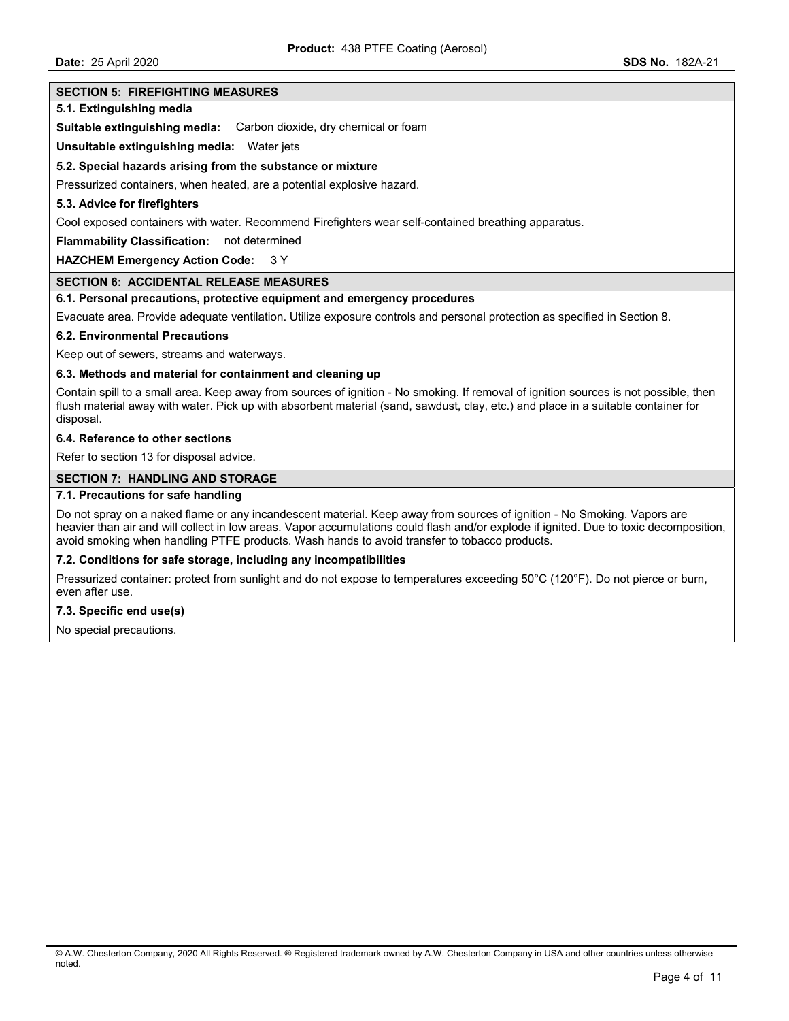## **SECTION 5: FIREFIGHTING MEASURES**

### **5.1. Extinguishing media**

**Suitable extinguishing media:** Carbon dioxide, dry chemical or foam

**Unsuitable extinguishing media:** Water jets

#### **5.2. Special hazards arising from the substance or mixture**

Pressurized containers, when heated, are a potential explosive hazard.

#### **5.3. Advice for firefighters**

Cool exposed containers with water. Recommend Firefighters wear self-contained breathing apparatus.

**Flammability Classification:** not determined

### **HAZCHEM Emergency Action Code:** 3 Y

## **SECTION 6: ACCIDENTAL RELEASE MEASURES**

### **6.1. Personal precautions, protective equipment and emergency procedures**

Evacuate area. Provide adequate ventilation. Utilize exposure controls and personal protection as specified in Section 8.

#### **6.2. Environmental Precautions**

Keep out of sewers, streams and waterways.

### **6.3. Methods and material for containment and cleaning up**

Contain spill to a small area. Keep away from sources of ignition - No smoking. If removal of ignition sources is not possible, then flush material away with water. Pick up with absorbent material (sand, sawdust, clay, etc.) and place in a suitable container for disposal.

#### **6.4. Reference to other sections**

Refer to section 13 for disposal advice.

#### **SECTION 7: HANDLING AND STORAGE**

### **7.1. Precautions for safe handling**

Do not spray on a naked flame or any incandescent material. Keep away from sources of ignition - No Smoking. Vapors are heavier than air and will collect in low areas. Vapor accumulations could flash and/or explode if ignited. Due to toxic decomposition, avoid smoking when handling PTFE products. Wash hands to avoid transfer to tobacco products.

### **7.2. Conditions for safe storage, including any incompatibilities**

Pressurized container: protect from sunlight and do not expose to temperatures exceeding 50°C (120°F). Do not pierce or burn, even after use.

#### **7.3. Specific end use(s)**

No special precautions.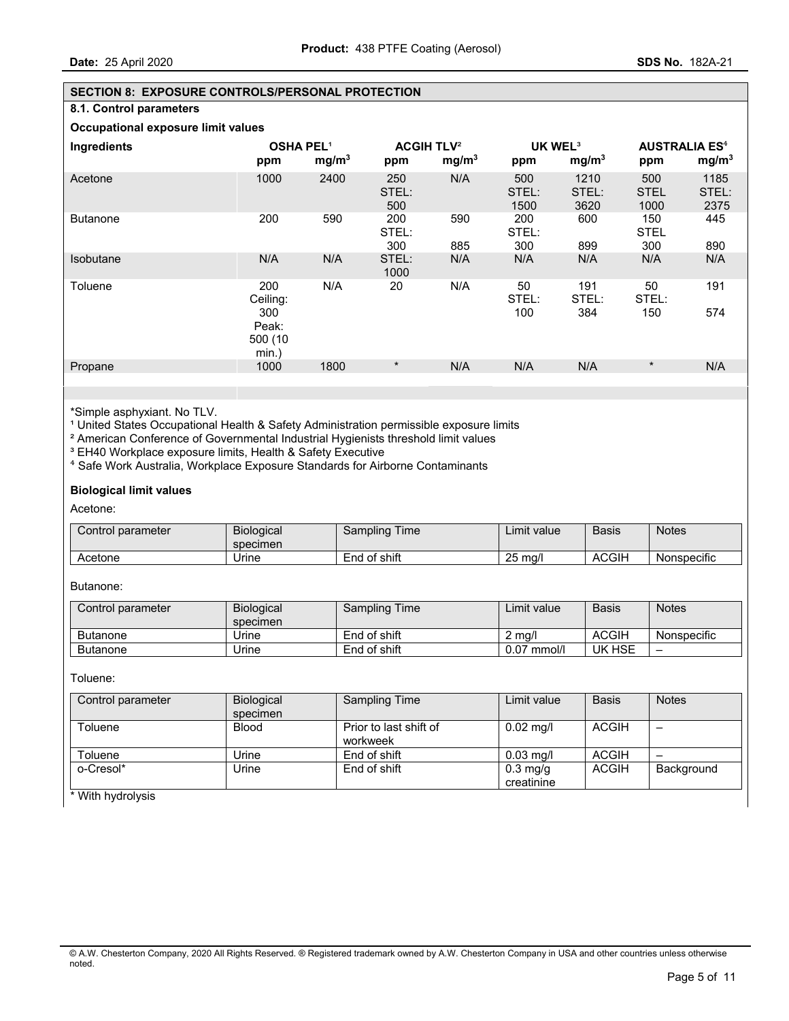## **SECTION 8: EXPOSURE CONTROLS/PERSONAL PROTECTION**

## **8.1. Control parameters**

**Occupational exposure limit values** 

| Ingredients      | <b>OSHA PEL1</b><br>ppm                                | mg/m <sup>3</sup> | <b>ACGIH TLV<sup>2</sup></b><br>ppm | mg/m <sup>3</sup> | UK WEL <sup>3</sup><br>ppm | mg/m <sup>3</sup>     | <b>AUSTRALIA ES<sup>4</sup></b><br>ppm | mg/m <sup>3</sup>     |
|------------------|--------------------------------------------------------|-------------------|-------------------------------------|-------------------|----------------------------|-----------------------|----------------------------------------|-----------------------|
| Acetone          | 1000                                                   | 2400              | 250<br>STEL:<br>500                 | N/A               | 500<br>STEL:<br>1500       | 1210<br>STEL:<br>3620 | 500<br><b>STEL</b><br>1000             | 1185<br>STEL:<br>2375 |
| <b>Butanone</b>  | 200                                                    | 590               | 200<br>STEL:<br>300                 | 590<br>885        | 200<br>STEL:<br>300        | 600<br>899            | 150<br><b>STEL</b><br>300              | 445<br>890            |
| <b>Isobutane</b> | N/A                                                    | N/A               | STEL:<br>1000                       | N/A               | N/A                        | N/A                   | N/A                                    | N/A                   |
| Toluene          | 200<br>Ceiling:<br>300<br>Peak:<br>500 (10<br>$min.$ ) | N/A               | 20                                  | N/A               | 50<br>STEL:<br>100         | 191<br>STEL:<br>384   | 50<br>STEL:<br>150                     | 191<br>574            |
| Propane          | 1000                                                   | 1800              | $\star$                             | N/A               | N/A                        | N/A                   | $\star$                                | N/A                   |

\*Simple asphyxiant. No TLV.

<sup>1</sup> United States Occupational Health & Safety Administration permissible exposure limits

² American Conference of Governmental Industrial Hygienists threshold limit values

<sup>3</sup> EH40 Workplace exposure limits, Health & Safety Executive

⁴ Safe Work Australia, Workplace Exposure Standards for Airborne Contaminants

## **Biological limit values**

Acetone:

| Control parameter | <b>Biological</b><br>specimen | Time<br>Sampling | Limit value       | Basis        | <b>Notes</b> |
|-------------------|-------------------------------|------------------|-------------------|--------------|--------------|
| Acetone           | Jrıne                         | End of shift     | $25 \text{ ma/l}$ | <b>ACGIH</b> | Nonspecific  |

Butanone:

| Control parameter | <b>Biological</b><br>specimen | Sampling Time | ∟imit value.  | <b>Basis</b> | <b>Notes</b> |
|-------------------|-------------------------------|---------------|---------------|--------------|--------------|
| Butanone          | Jrine                         | End of shift  | 2 mg/l        | <b>ACGIH</b> | Nonspecific  |
| <b>Butanone</b>   | Jrine                         | End of shift  | $0.07$ mmol/l | UK HSE       | -            |

Toluene:

| Control parameter | <b>Biological</b><br>specimen | Sampling Time                      | Limit value                      | <b>Basis</b> | <b>Notes</b> |
|-------------------|-------------------------------|------------------------------------|----------------------------------|--------------|--------------|
| Toluene           | <b>Blood</b>                  | Prior to last shift of<br>workweek | $0.02$ mg/l                      | ACGIH        | -            |
| Toluene           | Urine                         | End of shift                       | $0.03$ mg/l                      | ACGIH        | –            |
| o-Cresol*         | Jrine                         | End of shift                       | $0.3 \text{ mg/g}$<br>creatinine | ACGIH        | Background   |

\* With hydrolysis

<sup>©</sup> A.W. Chesterton Company, 2020 All Rights Reserved. ® Registered trademark owned by A.W. Chesterton Company in USA and other countries unless otherwise noted.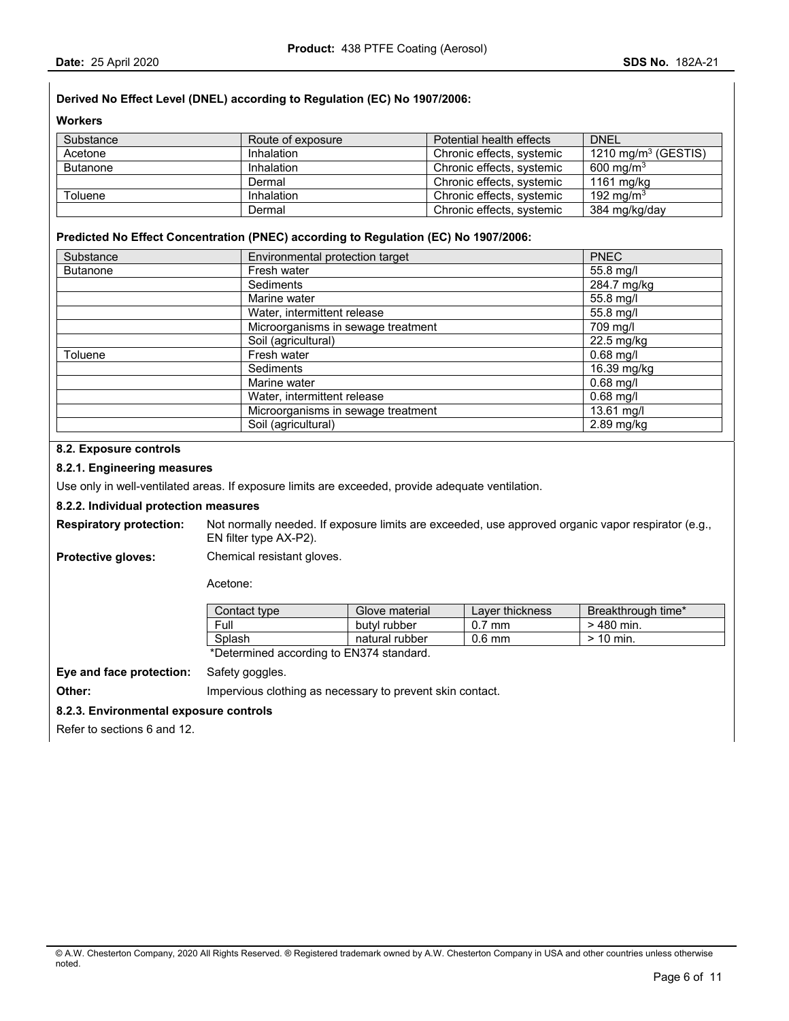# **Derived No Effect Level (DNEL) according to Regulation (EC) No 1907/2006:**

**Workers** 

| Substance       | Route of exposure | Potential health effects  | <b>DNEL</b>            |
|-----------------|-------------------|---------------------------|------------------------|
| Acetone         | Inhalation        | Chronic effects, systemic | 1210 mg/m $3$ (GESTIS) |
| <b>Butanone</b> | Inhalation        | Chronic effects, systemic | 600 mg/m $3$           |
|                 | Dermal            | Chronic effects, systemic | 1161 mg/kg             |
| Toluene         | Inhalation        | Chronic effects, systemic | 192 ma/m $^3$          |
|                 | Dermal            | Chronic effects, systemic | 384 mg/kg/day          |

## **Predicted No Effect Concentration (PNEC) according to Regulation (EC) No 1907/2006:**

| Substance       | Environmental protection target    | <b>PNEC</b>   |
|-----------------|------------------------------------|---------------|
| <b>Butanone</b> | Fresh water                        | 55.8 mg/l     |
|                 | Sediments                          | $284.7$ mg/kg |
|                 | Marine water                       | 55.8 mg/l     |
|                 | Water, intermittent release        | 55.8 mg/l     |
|                 | Microorganisms in sewage treatment | 709 mg/l      |
|                 | Soil (agricultural)                | 22.5 mg/kg    |
| Toluene         | Fresh water                        | $0.68$ mg/l   |
|                 | Sediments                          | 16.39 mg/kg   |
|                 | Marine water                       | $0.68$ mg/l   |
|                 | Water, intermittent release        | $0.68$ mg/l   |
|                 | Microorganisms in sewage treatment | 13.61 mg/l    |
|                 | Soil (agricultural)                | 2.89 mg/kg    |

## **8.2. Exposure controls**

### **8.2.1. Engineering measures**

Use only in well-ventilated areas. If exposure limits are exceeded, provide adequate ventilation.

### **8.2.2. Individual protection measures**

**Respiratory protection:** Not normally needed. If exposure limits are exceeded, use approved organic vapor respirator (e.g., EN filter type AX-P2).

**Protective gloves:** Chemical resistant gloves.

Acetone:

| Contact type                             | Glove material | Laver thickness | Breakthrough time* |  |  |
|------------------------------------------|----------------|-----------------|--------------------|--|--|
| Full                                     | butvl rubber   | $0.7$ mm        | > 480 min.         |  |  |
| Splash                                   | natural rubber | $0.6$ mm        | $>$ 10 min.        |  |  |
| *Determined according to EN374 standard. |                |                 |                    |  |  |

**Eye and face protection:** Safety goggles.

**Other: IMPERTY CONTERNATE:** Impervious clothing as necessary to prevent skin contact.

#### **8.2.3. Environmental exposure controls**

Refer to sections 6 and 12.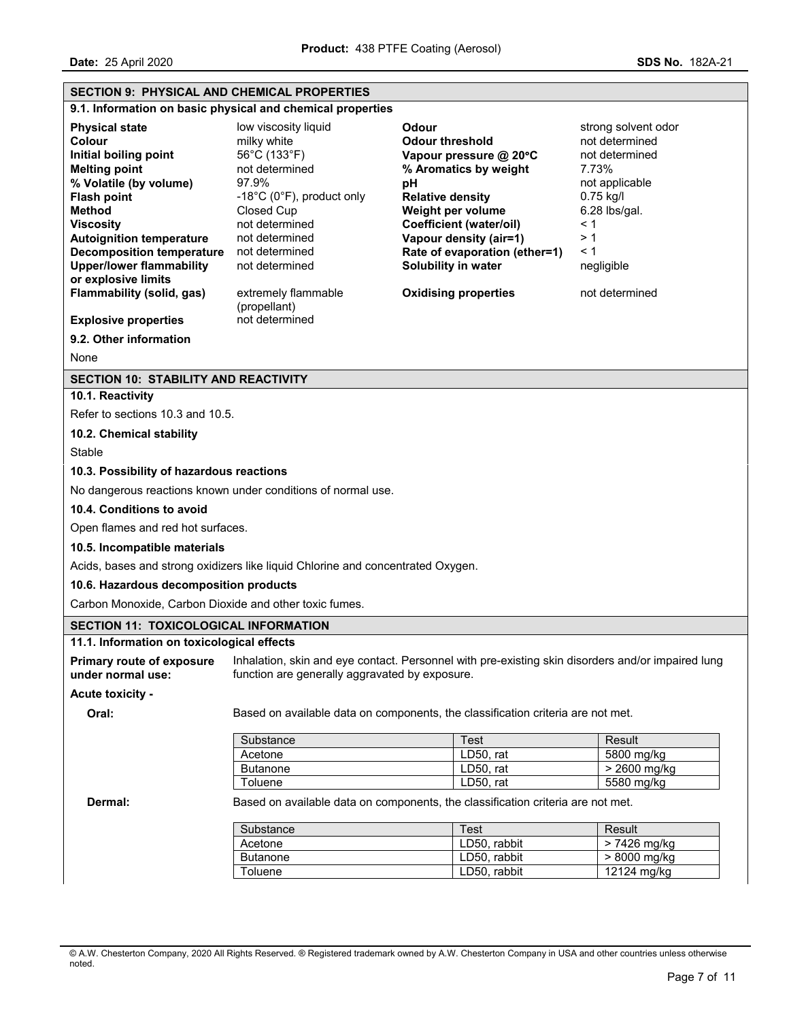| <b>SECTION 9: PHYSICAL AND CHEMICAL PROPERTIES</b>     |                                                                                 |                                                                                                   |                                        |
|--------------------------------------------------------|---------------------------------------------------------------------------------|---------------------------------------------------------------------------------------------------|----------------------------------------|
|                                                        | 9.1. Information on basic physical and chemical properties                      |                                                                                                   |                                        |
|                                                        |                                                                                 |                                                                                                   |                                        |
| <b>Physical state</b><br>Colour                        | low viscosity liquid<br>milky white                                             | Odour<br><b>Odour threshold</b>                                                                   | strong solvent odor<br>not determined  |
| Initial boiling point                                  | 56°C (133°F)                                                                    | Vapour pressure @ 20°C                                                                            | not determined                         |
| <b>Melting point</b>                                   | not determined                                                                  | % Aromatics by weight                                                                             | 7.73%                                  |
| % Volatile (by volume)                                 | 97.9%                                                                           | рH                                                                                                | not applicable                         |
| <b>Flash point</b>                                     | -18°C (0°F), product only                                                       | <b>Relative density</b>                                                                           | 0.75 kg/l                              |
| <b>Method</b>                                          | Closed Cup                                                                      | Weight per volume                                                                                 | 6.28 lbs/gal.<br>< 1<br>>1<br>$\leq 1$ |
| <b>Viscosity</b>                                       | not determined                                                                  | <b>Coefficient (water/oil)</b>                                                                    |                                        |
| <b>Autoignition temperature</b>                        | not determined                                                                  | Vapour density (air=1)                                                                            |                                        |
| <b>Decomposition temperature</b>                       | not determined                                                                  | Rate of evaporation (ether=1)                                                                     |                                        |
| <b>Upper/lower flammability</b>                        | not determined                                                                  | Solubility in water                                                                               | negligible                             |
| or explosive limits                                    |                                                                                 |                                                                                                   |                                        |
| Flammability (solid, gas)                              | extremely flammable<br>(propellant)                                             | <b>Oxidising properties</b>                                                                       | not determined                         |
| <b>Explosive properties</b>                            | not determined                                                                  |                                                                                                   |                                        |
|                                                        |                                                                                 |                                                                                                   |                                        |
| 9.2. Other information                                 |                                                                                 |                                                                                                   |                                        |
| None                                                   |                                                                                 |                                                                                                   |                                        |
| <b>SECTION 10: STABILITY AND REACTIVITY</b>            |                                                                                 |                                                                                                   |                                        |
| 10.1. Reactivity                                       |                                                                                 |                                                                                                   |                                        |
| Refer to sections 10.3 and 10.5.                       |                                                                                 |                                                                                                   |                                        |
| 10.2. Chemical stability                               |                                                                                 |                                                                                                   |                                        |
| Stable                                                 |                                                                                 |                                                                                                   |                                        |
| 10.3. Possibility of hazardous reactions               |                                                                                 |                                                                                                   |                                        |
|                                                        | No dangerous reactions known under conditions of normal use.                    |                                                                                                   |                                        |
| 10.4. Conditions to avoid                              |                                                                                 |                                                                                                   |                                        |
| Open flames and red hot surfaces.                      |                                                                                 |                                                                                                   |                                        |
| 10.5. Incompatible materials                           |                                                                                 |                                                                                                   |                                        |
|                                                        | Acids, bases and strong oxidizers like liquid Chlorine and concentrated Oxygen. |                                                                                                   |                                        |
| 10.6. Hazardous decomposition products                 |                                                                                 |                                                                                                   |                                        |
| Carbon Monoxide, Carbon Dioxide and other toxic fumes. |                                                                                 |                                                                                                   |                                        |
| <b>SECTION 11: TOXICOLOGICAL INFORMATION</b>           |                                                                                 |                                                                                                   |                                        |
| 11.1. Information on toxicological effects             |                                                                                 |                                                                                                   |                                        |
| <b>Primary route of exposure</b><br>under normal use:  | function are generally aggravated by exposure.                                  | Inhalation, skin and eye contact. Personnel with pre-existing skin disorders and/or impaired lung |                                        |
| Acute toxicity -                                       |                                                                                 |                                                                                                   |                                        |
| Oral:                                                  |                                                                                 | Based on available data on components, the classification criteria are not met.                   |                                        |
|                                                        |                                                                                 |                                                                                                   |                                        |
|                                                        | Substance                                                                       | Test                                                                                              | Result                                 |
|                                                        | Acetone                                                                         | LD50, rat                                                                                         | 5800 mg/kg                             |
|                                                        | <b>Butanone</b>                                                                 | LD50, rat<br>LD50, rat                                                                            | > 2600 mg/kg<br>5580 mg/kg             |
|                                                        | Toluene                                                                         |                                                                                                   |                                        |
| Dermal:                                                |                                                                                 | Based on available data on components, the classification criteria are not met.                   |                                        |
|                                                        | Substance                                                                       | <b>Test</b>                                                                                       | Result                                 |
|                                                        | Acetone                                                                         | LD50, rabbit                                                                                      | > 7426 mg/kg                           |
|                                                        | <b>Butanone</b>                                                                 | LD50, rabbit                                                                                      | $> 8000$ mg/kg                         |
|                                                        | Toluene                                                                         | LD50, rabbit                                                                                      | 12124 mg/kg                            |
|                                                        |                                                                                 |                                                                                                   |                                        |

© A.W. Chesterton Company, 2020 All Rights Reserved. ® Registered trademark owned by A.W. Chesterton Company in USA and other countries unless otherwise noted.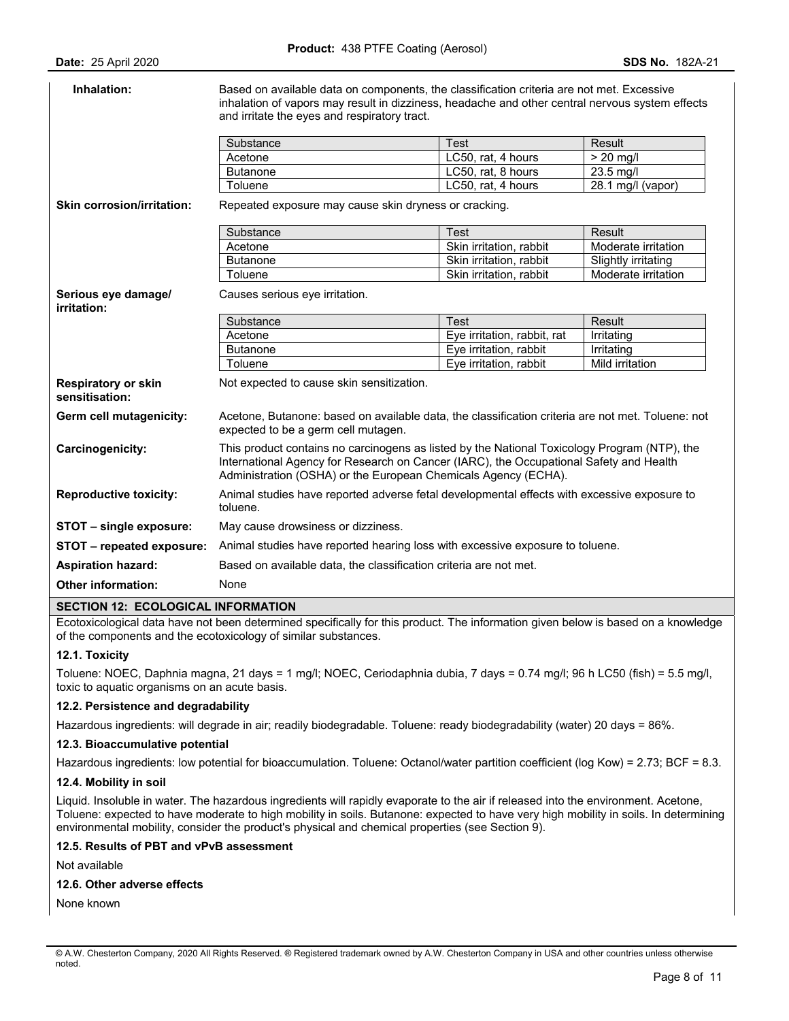| Inhalation:                                  | Based on available data on components, the classification criteria are not met. Excessive<br>inhalation of vapors may result in dizziness, headache and other central nervous system effects<br>and irritate the eyes and respiratory tract.             |                             |                     |
|----------------------------------------------|----------------------------------------------------------------------------------------------------------------------------------------------------------------------------------------------------------------------------------------------------------|-----------------------------|---------------------|
|                                              | Substance                                                                                                                                                                                                                                                | <b>Test</b>                 | Result              |
|                                              | Acetone                                                                                                                                                                                                                                                  | LC50, rat, 4 hours          | $> 20$ mg/l         |
|                                              | <b>Butanone</b>                                                                                                                                                                                                                                          | LC50, rat, 8 hours          | 23.5 mg/l           |
|                                              | Toluene                                                                                                                                                                                                                                                  | LC50, rat, 4 hours          | 28.1 mg/l (vapor)   |
| <b>Skin corrosion/irritation:</b>            | Repeated exposure may cause skin dryness or cracking.                                                                                                                                                                                                    |                             |                     |
|                                              | Substance                                                                                                                                                                                                                                                | <b>Test</b>                 | Result              |
|                                              | Acetone                                                                                                                                                                                                                                                  | Skin irritation, rabbit     | Moderate irritation |
|                                              | <b>Butanone</b>                                                                                                                                                                                                                                          | Skin irritation, rabbit     | Slightly irritating |
|                                              | Toluene                                                                                                                                                                                                                                                  | Skin irritation, rabbit     | Moderate irritation |
| Serious eye damage/<br>irritation:           | Causes serious eye irritation.                                                                                                                                                                                                                           |                             |                     |
|                                              | Substance                                                                                                                                                                                                                                                | <b>Test</b>                 | Result              |
|                                              | Acetone                                                                                                                                                                                                                                                  | Eye irritation, rabbit, rat | Irritating          |
|                                              | <b>Butanone</b>                                                                                                                                                                                                                                          | Eye irritation, rabbit      | Irritating          |
|                                              | Toluene                                                                                                                                                                                                                                                  | Eye irritation, rabbit      | Mild irritation     |
| <b>Respiratory or skin</b><br>sensitisation: | Not expected to cause skin sensitization.                                                                                                                                                                                                                |                             |                     |
| Germ cell mutagenicity:                      | Acetone, Butanone: based on available data, the classification criteria are not met. Toluene: not<br>expected to be a germ cell mutagen.                                                                                                                 |                             |                     |
|                                              |                                                                                                                                                                                                                                                          |                             |                     |
| Carcinogenicity:                             | This product contains no carcinogens as listed by the National Toxicology Program (NTP), the<br>International Agency for Research on Cancer (IARC), the Occupational Safety and Health<br>Administration (OSHA) or the European Chemicals Agency (ECHA). |                             |                     |
| <b>Reproductive toxicity:</b>                | Animal studies have reported adverse fetal developmental effects with excessive exposure to<br>toluene.                                                                                                                                                  |                             |                     |
| STOT - single exposure:                      | May cause drowsiness or dizziness.                                                                                                                                                                                                                       |                             |                     |
| STOT - repeated exposure:                    | Animal studies have reported hearing loss with excessive exposure to toluene.                                                                                                                                                                            |                             |                     |
| <b>Aspiration hazard:</b>                    | Based on available data, the classification criteria are not met.                                                                                                                                                                                        |                             |                     |

#### **SECTION 12: ECOLOGICAL INFORMATION**

Ecotoxicological data have not been determined specifically for this product. The information given below is based on a knowledge of the components and the ecotoxicology of similar substances.

## **12.1. Toxicity**

Toluene: NOEC, Daphnia magna, 21 days = 1 mg/l; NOEC, Ceriodaphnia dubia, 7 days = 0.74 mg/l; 96 h LC50 (fish) = 5.5 mg/l, toxic to aquatic organisms on an acute basis.

#### **12.2. Persistence and degradability**

Hazardous ingredients: will degrade in air; readily biodegradable. Toluene: ready biodegradability (water) 20 days = 86%.

#### **12.3. Bioaccumulative potential**

Hazardous ingredients: low potential for bioaccumulation. Toluene: Octanol/water partition coefficient (log Kow) = 2.73; BCF = 8.3.

#### **12.4. Mobility in soil**

Liquid. Insoluble in water. The hazardous ingredients will rapidly evaporate to the air if released into the environment. Acetone, Toluene: expected to have moderate to high mobility in soils. Butanone: expected to have very high mobility in soils. In determining environmental mobility, consider the product's physical and chemical properties (see Section 9).

## **12.5. Results of PBT and vPvB assessment**

Not available

#### **12.6. Other adverse effects**

None known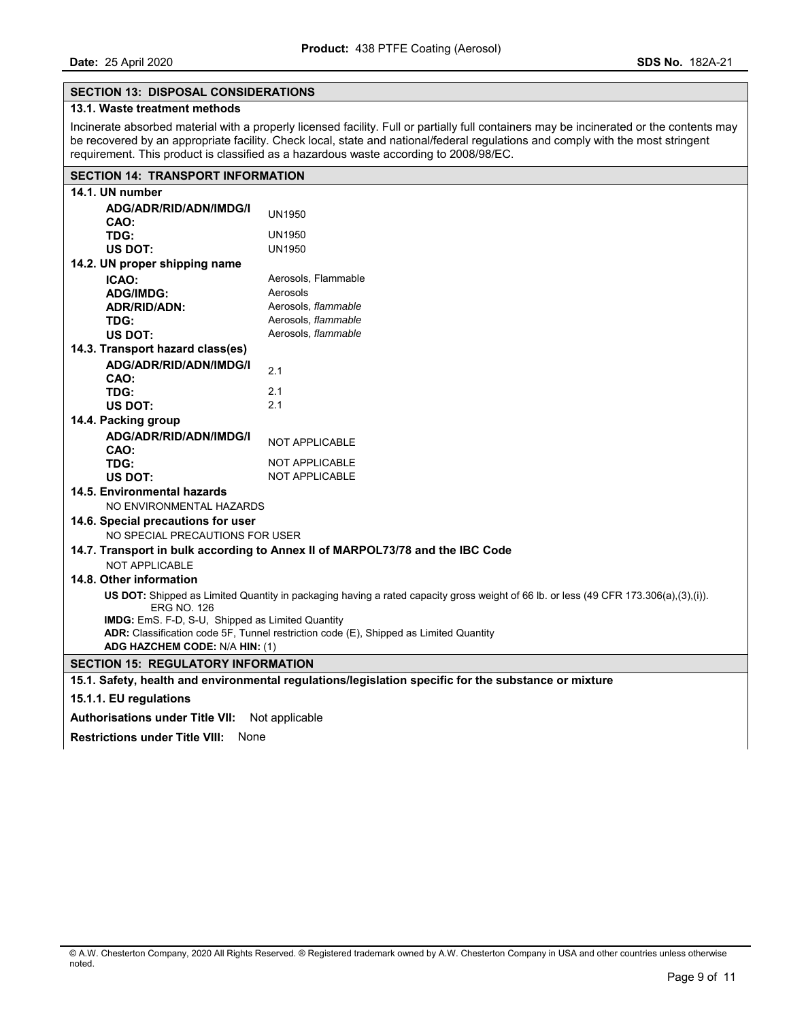## **SECTION 13: DISPOSAL CONSIDERATIONS**

## **13.1. Waste treatment methods**

Incinerate absorbed material with a properly licensed facility. Full or partially full containers may be incinerated or the contents may be recovered by an appropriate facility. Check local, state and national/federal regulations and comply with the most stringent requirement. This product is classified as a hazardous waste according to 2008/98/EC.

# **SECTION 14: TRANSPORT INFORMATION**

| 14.1. UN number                                                                                                                                            |                        |  |  |
|------------------------------------------------------------------------------------------------------------------------------------------------------------|------------------------|--|--|
| ADG/ADR/RID/ADN/IMDG/I                                                                                                                                     | <b>UN1950</b>          |  |  |
| CAO:                                                                                                                                                       |                        |  |  |
| TDG:                                                                                                                                                       | UN1950                 |  |  |
| US DOT:                                                                                                                                                    | <b>UN1950</b>          |  |  |
| 14.2. UN proper shipping name                                                                                                                              |                        |  |  |
| ICAO:                                                                                                                                                      | Aerosols, Flammable    |  |  |
| <b>ADG/IMDG:</b>                                                                                                                                           | Aerosols               |  |  |
| <b>ADR/RID/ADN:</b>                                                                                                                                        | Aerosols, flammable    |  |  |
| TDG:                                                                                                                                                       | Aerosols, flammable    |  |  |
| US DOT:                                                                                                                                                    | Aerosols, flammable    |  |  |
| 14.3. Transport hazard class(es)                                                                                                                           |                        |  |  |
| ADG/ADR/RID/ADN/IMDG/I                                                                                                                                     | 2.1                    |  |  |
| CAO:                                                                                                                                                       |                        |  |  |
| TDG:                                                                                                                                                       | 2.1                    |  |  |
| US DOT:                                                                                                                                                    | 2.1                    |  |  |
| 14.4. Packing group                                                                                                                                        |                        |  |  |
| ADG/ADR/RID/ADN/IMDG/I                                                                                                                                     | NOT APPLICABLE         |  |  |
| CAO:                                                                                                                                                       |                        |  |  |
| TDG:                                                                                                                                                       | <b>NOT APPLICABLE</b>  |  |  |
| US DOT:                                                                                                                                                    | <b>NOT APPLICABLE</b>  |  |  |
| 14.5. Environmental hazards                                                                                                                                |                        |  |  |
| NO ENVIRONMENTAL HAZARDS                                                                                                                                   |                        |  |  |
| 14.6. Special precautions for user                                                                                                                         |                        |  |  |
| NO SPECIAL PRECAUTIONS FOR USER                                                                                                                            |                        |  |  |
| 14.7. Transport in bulk according to Annex II of MARPOL73/78 and the IBC Code                                                                              |                        |  |  |
| <b>NOT APPLICABLE</b>                                                                                                                                      |                        |  |  |
| 14.8. Other information                                                                                                                                    |                        |  |  |
| US DOT: Shipped as Limited Quantity in packaging having a rated capacity gross weight of 66 lb. or less (49 CFR 173.306(a),(3),(i)).<br><b>ERG NO. 126</b> |                        |  |  |
| IMDG: EmS. F-D, S-U, Shipped as Limited Quantity                                                                                                           |                        |  |  |
| ADR: Classification code 5F, Tunnel restriction code (E), Shipped as Limited Quantity                                                                      |                        |  |  |
| ADG HAZCHEM CODE: N/A HIN: (1)                                                                                                                             |                        |  |  |
| <b>SECTION 15: REGULATORY INFORMATION</b>                                                                                                                  |                        |  |  |
| 15.1. Safety, health and environmental regulations/legislation specific for the substance or mixture                                                       |                        |  |  |
|                                                                                                                                                            | 15.1.1. EU regulations |  |  |
|                                                                                                                                                            |                        |  |  |

**Authorisations under Title VII:** Not applicable

**Restrictions under Title VIII:** None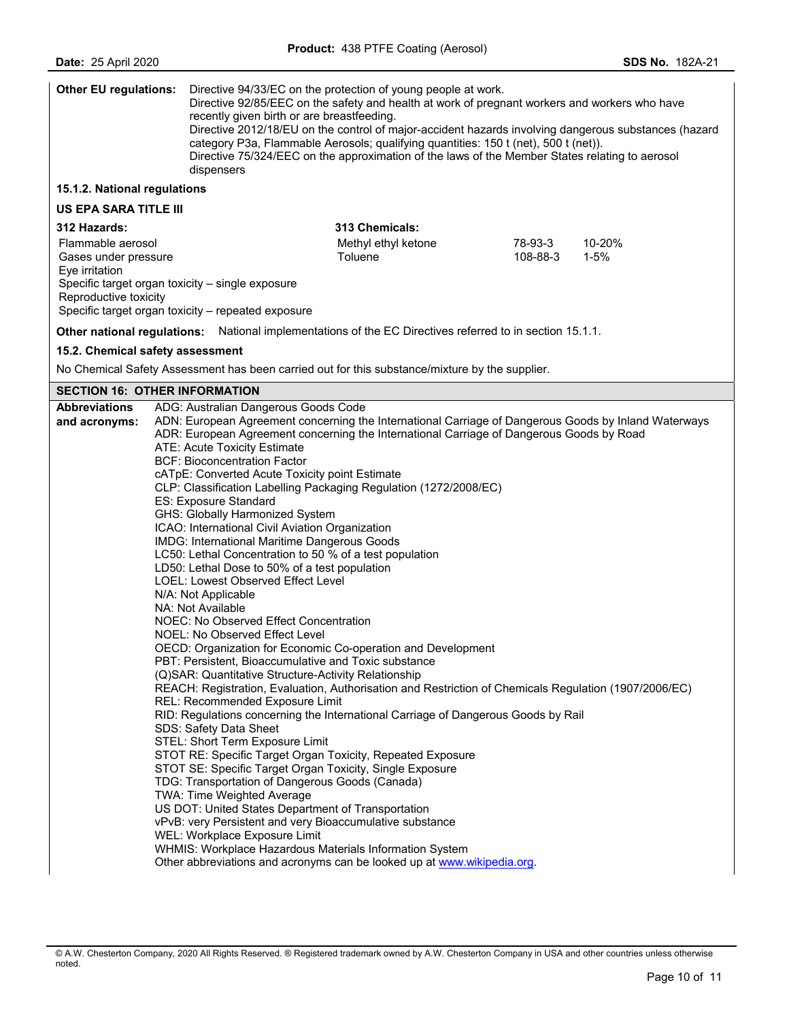| <b>Other EU regulations:</b>           |                                                                                                             | recently given birth or are breastfeeding.<br>dispensers | Directive 94/33/EC on the protection of young people at work.<br>Directive 92/85/EEC on the safety and health at work of pregnant workers and workers who have<br>Directive 2012/18/EU on the control of major-accident hazards involving dangerous substances (hazard<br>category P3a, Flammable Aerosols; qualifying quantities: 150 t (net), 500 t (net)).<br>Directive 75/324/EEC on the approximation of the laws of the Member States relating to aerosol |          |          |
|----------------------------------------|-------------------------------------------------------------------------------------------------------------|----------------------------------------------------------|-----------------------------------------------------------------------------------------------------------------------------------------------------------------------------------------------------------------------------------------------------------------------------------------------------------------------------------------------------------------------------------------------------------------------------------------------------------------|----------|----------|
| 15.1.2. National regulations           |                                                                                                             |                                                          |                                                                                                                                                                                                                                                                                                                                                                                                                                                                 |          |          |
| <b>US EPA SARA TITLE III</b>           |                                                                                                             |                                                          |                                                                                                                                                                                                                                                                                                                                                                                                                                                                 |          |          |
| 312 Hazards:                           |                                                                                                             |                                                          | 313 Chemicals:                                                                                                                                                                                                                                                                                                                                                                                                                                                  |          |          |
| Flammable aerosol                      |                                                                                                             |                                                          | Methyl ethyl ketone                                                                                                                                                                                                                                                                                                                                                                                                                                             | 78-93-3  | 10-20%   |
| Gases under pressure                   |                                                                                                             |                                                          | Toluene                                                                                                                                                                                                                                                                                                                                                                                                                                                         | 108-88-3 | $1 - 5%$ |
| Eye irritation                         |                                                                                                             |                                                          |                                                                                                                                                                                                                                                                                                                                                                                                                                                                 |          |          |
|                                        |                                                                                                             | Specific target organ toxicity - single exposure         |                                                                                                                                                                                                                                                                                                                                                                                                                                                                 |          |          |
| Reproductive toxicity                  |                                                                                                             | Specific target organ toxicity - repeated exposure       |                                                                                                                                                                                                                                                                                                                                                                                                                                                                 |          |          |
|                                        |                                                                                                             |                                                          |                                                                                                                                                                                                                                                                                                                                                                                                                                                                 |          |          |
|                                        |                                                                                                             |                                                          | Other national regulations: National implementations of the EC Directives referred to in section 15.1.1.                                                                                                                                                                                                                                                                                                                                                        |          |          |
| 15.2. Chemical safety assessment       |                                                                                                             |                                                          |                                                                                                                                                                                                                                                                                                                                                                                                                                                                 |          |          |
|                                        |                                                                                                             |                                                          | No Chemical Safety Assessment has been carried out for this substance/mixture by the supplier.                                                                                                                                                                                                                                                                                                                                                                  |          |          |
| <b>SECTION 16: OTHER INFORMATION</b>   |                                                                                                             |                                                          |                                                                                                                                                                                                                                                                                                                                                                                                                                                                 |          |          |
| <b>Abbreviations</b>                   |                                                                                                             | ADG: Australian Dangerous Goods Code                     |                                                                                                                                                                                                                                                                                                                                                                                                                                                                 |          |          |
| and acronyms:                          |                                                                                                             |                                                          | ADN: European Agreement concerning the International Carriage of Dangerous Goods by Inland Waterways<br>ADR: European Agreement concerning the International Carriage of Dangerous Goods by Road                                                                                                                                                                                                                                                                |          |          |
|                                        |                                                                                                             | ATE: Acute Toxicity Estimate                             |                                                                                                                                                                                                                                                                                                                                                                                                                                                                 |          |          |
|                                        |                                                                                                             | <b>BCF: Bioconcentration Factor</b>                      |                                                                                                                                                                                                                                                                                                                                                                                                                                                                 |          |          |
|                                        | cATpE: Converted Acute Toxicity point Estimate                                                              |                                                          |                                                                                                                                                                                                                                                                                                                                                                                                                                                                 |          |          |
|                                        |                                                                                                             |                                                          | CLP: Classification Labelling Packaging Regulation (1272/2008/EC)                                                                                                                                                                                                                                                                                                                                                                                               |          |          |
|                                        | ES: Exposure Standard                                                                                       |                                                          |                                                                                                                                                                                                                                                                                                                                                                                                                                                                 |          |          |
|                                        |                                                                                                             | GHS: Globally Harmonized System                          |                                                                                                                                                                                                                                                                                                                                                                                                                                                                 |          |          |
|                                        |                                                                                                             | ICAO: International Civil Aviation Organization          |                                                                                                                                                                                                                                                                                                                                                                                                                                                                 |          |          |
|                                        | IMDG: International Maritime Dangerous Goods                                                                |                                                          |                                                                                                                                                                                                                                                                                                                                                                                                                                                                 |          |          |
|                                        | LC50: Lethal Concentration to 50 % of a test population                                                     |                                                          |                                                                                                                                                                                                                                                                                                                                                                                                                                                                 |          |          |
|                                        | LD50: Lethal Dose to 50% of a test population<br>LOEL: Lowest Observed Effect Level                         |                                                          |                                                                                                                                                                                                                                                                                                                                                                                                                                                                 |          |          |
|                                        |                                                                                                             | N/A: Not Applicable                                      |                                                                                                                                                                                                                                                                                                                                                                                                                                                                 |          |          |
|                                        |                                                                                                             | NA: Not Available                                        |                                                                                                                                                                                                                                                                                                                                                                                                                                                                 |          |          |
| NOEC: No Observed Effect Concentration |                                                                                                             |                                                          |                                                                                                                                                                                                                                                                                                                                                                                                                                                                 |          |          |
|                                        |                                                                                                             | <b>NOEL: No Observed Effect Level</b>                    |                                                                                                                                                                                                                                                                                                                                                                                                                                                                 |          |          |
|                                        | OECD: Organization for Economic Co-operation and Development                                                |                                                          |                                                                                                                                                                                                                                                                                                                                                                                                                                                                 |          |          |
|                                        |                                                                                                             |                                                          | PBT: Persistent, Bioaccumulative and Toxic substance                                                                                                                                                                                                                                                                                                                                                                                                            |          |          |
|                                        |                                                                                                             | (Q)SAR: Quantitative Structure-Activity Relationship     |                                                                                                                                                                                                                                                                                                                                                                                                                                                                 |          |          |
|                                        |                                                                                                             |                                                          | REACH: Registration, Evaluation, Authorisation and Restriction of Chemicals Regulation (1907/2006/EC)                                                                                                                                                                                                                                                                                                                                                           |          |          |
|                                        |                                                                                                             | REL: Recommended Exposure Limit                          |                                                                                                                                                                                                                                                                                                                                                                                                                                                                 |          |          |
|                                        | RID: Regulations concerning the International Carriage of Dangerous Goods by Rail<br>SDS: Safety Data Sheet |                                                          |                                                                                                                                                                                                                                                                                                                                                                                                                                                                 |          |          |
|                                        |                                                                                                             | STEL: Short Term Exposure Limit                          |                                                                                                                                                                                                                                                                                                                                                                                                                                                                 |          |          |
|                                        |                                                                                                             |                                                          | STOT RE: Specific Target Organ Toxicity, Repeated Exposure                                                                                                                                                                                                                                                                                                                                                                                                      |          |          |
|                                        |                                                                                                             |                                                          | STOT SE: Specific Target Organ Toxicity, Single Exposure                                                                                                                                                                                                                                                                                                                                                                                                        |          |          |
|                                        |                                                                                                             | TDG: Transportation of Dangerous Goods (Canada)          |                                                                                                                                                                                                                                                                                                                                                                                                                                                                 |          |          |
|                                        |                                                                                                             | TWA: Time Weighted Average                               |                                                                                                                                                                                                                                                                                                                                                                                                                                                                 |          |          |

US DOT: United States Department of Transportation

vPvB: very Persistent and very Bioaccumulative substance

WEL: Workplace Exposure Limit

WHMIS: Workplace Hazardous Materials Information System

Other abbreviations and acronyms can be looked up at www.wikipedia.org.